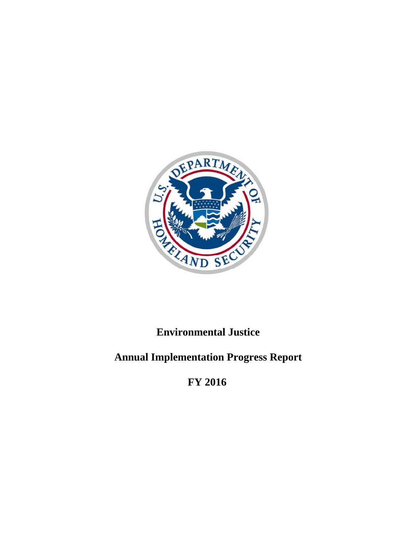

# **Environmental Justice**

# **Annual Implementation Progress Report**

**FY 2016**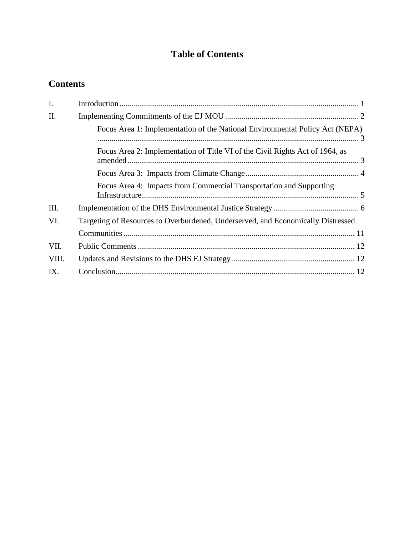# **Table of Contents**

# **Contents**

| I.    |                                                                                  |  |
|-------|----------------------------------------------------------------------------------|--|
| II.   |                                                                                  |  |
|       | Focus Area 1: Implementation of the National Environmental Policy Act (NEPA)     |  |
|       | Focus Area 2: Implementation of Title VI of the Civil Rights Act of 1964, as     |  |
|       |                                                                                  |  |
|       | Focus Area 4: Impacts from Commercial Transportation and Supporting              |  |
| III.  |                                                                                  |  |
| VI.   | Targeting of Resources to Overburdened, Underserved, and Economically Distressed |  |
|       |                                                                                  |  |
| VII.  |                                                                                  |  |
| VIII. |                                                                                  |  |
| IX.   |                                                                                  |  |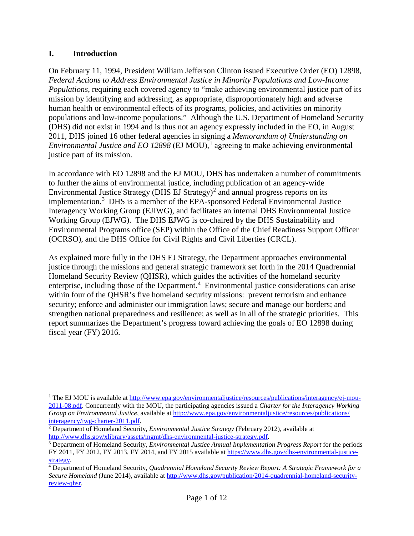#### <span id="page-2-0"></span>**I. Introduction**

On February 11, 1994, President William Jefferson Clinton issued Executive Order (EO) 12898, *Federal Actions to Address Environmental Justice in Minority Populations and Low-Income Populations*, requiring each covered agency to "make achieving environmental justice part of its mission by identifying and addressing, as appropriate, disproportionately high and adverse human health or environmental effects of its programs, policies, and activities on minority populations and low-income populations." Although the U.S. Department of Homeland Security (DHS) did not exist in 1994 and is thus not an agency expressly included in the EO, in August 2011, DHS joined 16 other federal agencies in signing a *Memorandum of Understanding on Environmental Justice and EO [1](#page-2-1)2898* (EJ MOU),<sup>1</sup> agreeing to make achieving environmental justice part of its mission.

In accordance with EO 12898 and the EJ MOU, DHS has undertaken a number of commitments to further the aims of environmental justice, including publication of an agency-wide Environmental Justice Strategy (DHS EJ Strategy)<sup>[2](#page-2-2)</sup> and annual progress reports on its implementation.[3](#page-2-3) DHS is a member of the EPA-sponsored Federal Environmental Justice Interagency Working Group (EJIWG), and facilitates an internal DHS Environmental Justice Working Group (EJWG). The DHS EJWG is co-chaired by the DHS Sustainability and Environmental Programs office (SEP) within the Office of the Chief Readiness Support Officer (OCRSO), and the DHS Office for Civil Rights and Civil Liberties (CRCL).

As explained more fully in the DHS EJ Strategy, the Department approaches environmental justice through the missions and general strategic framework set forth in the 2014 Quadrennial Homeland Security Review (QHSR), which guides the activities of the homeland security enterprise, including those of the Department.<sup>[4](#page-2-4)</sup> Environmental justice considerations can arise within four of the OHSR's five homeland security missions: prevent terrorism and enhance security; enforce and administer our immigration laws; secure and manage our borders; and strengthen national preparedness and resilience; as well as in all of the strategic priorities. This report summarizes the Department's progress toward achieving the goals of EO 12898 during fiscal year (FY) 2016.

<span id="page-2-1"></span><sup>&</sup>lt;sup>1</sup> The EJ MOU is available at http://www.epa.gov/environmental justice/resources/publications/interagency/ej-mou-[2011-08.pdf.](http://www.epa.gov/environmentaljustice/resources/publications/interagency/ej-mou-2011-08.pdf) Concurrently with the MOU, the participating agencies issued a *Charter for the Interagency Working Group on Environmental Justice*, available at  $\frac{http://www.epa.gov/environmentaljustice/resources/publications/interagency/iwg-charter-2011.pdf.$ 

<span id="page-2-2"></span> $\frac{2}{\pi}$  Department of Homeland Security, *Environmental Justice Strategy* (February 2012), available at [http://www.dhs.gov/xlibrary/assets/mgmt/dhs-environmental-justice-strategy.pdf.](http://www.dhs.gov/xlibrary/assets/mgmt/dhs-environmental-justice-strategy.pdf)<br><sup>3</sup> Department of Homeland Security, *Environmental Justice Annual Implementation Progress Report* for the periods

<span id="page-2-3"></span>FY 2011, FY 2012, FY 2013, FY 2014, and FY 2015 available at [https://www.dhs.gov/dhs-environmental-justice](https://www.dhs.gov/dhs-environmental-justice-strategy)[strategy.](https://www.dhs.gov/dhs-environmental-justice-strategy)

<span id="page-2-4"></span><sup>4</sup> Department of Homeland Security, *Quadrennial Homeland Security Review Report: A Strategic Framework for a Secure Homeland* (June 2014), available at [http://www.dhs.gov/publication/2014-quadrennial-homeland-security](http://www.dhs.gov/publication/2014-quadrennial-homeland-security-review-qhsr)[review-qhsr.](http://www.dhs.gov/publication/2014-quadrennial-homeland-security-review-qhsr)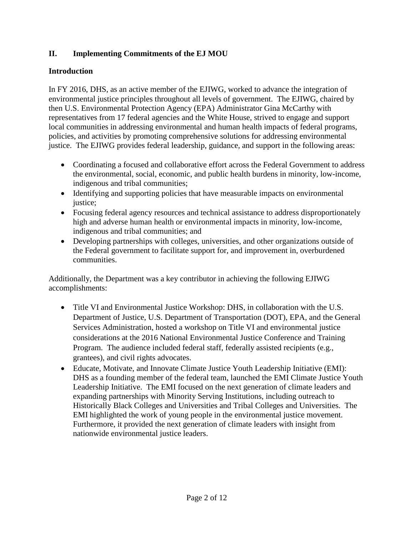## <span id="page-3-0"></span>**II. Implementing Commitments of the EJ MOU**

#### **Introduction**

In FY 2016, DHS, as an active member of the EJIWG, worked to advance the integration of environmental justice principles throughout all levels of government. The EJIWG, chaired by then U.S. Environmental Protection Agency (EPA) Administrator Gina McCarthy with representatives from 17 federal agencies and the White House, strived to engage and support local communities in addressing environmental and human health impacts of federal programs, policies, and activities by promoting comprehensive solutions for addressing environmental justice. The EJIWG provides federal leadership, guidance, and support in the following areas:

- Coordinating a focused and collaborative effort across the Federal Government to address the environmental, social, economic, and public health burdens in minority, low-income, indigenous and tribal communities;
- Identifying and supporting policies that have measurable impacts on environmental justice;
- Focusing federal agency resources and technical assistance to address disproportionately high and adverse human health or environmental impacts in minority, low-income, indigenous and tribal communities; and
- Developing partnerships with colleges, universities, and other organizations outside of the Federal government to facilitate support for, and improvement in, overburdened communities.

Additionally, the Department was a key contributor in achieving the following EJIWG accomplishments:

- Title VI and Environmental Justice Workshop: DHS, in collaboration with the U.S. Department of Justice, U.S. Department of Transportation (DOT), EPA, and the General Services Administration, hosted a workshop on Title VI and environmental justice considerations at the 2016 National Environmental Justice Conference and Training Program. The audience included federal staff, federally assisted recipients (e.g., grantees), and civil rights advocates.
- Educate, Motivate, and Innovate Climate Justice Youth Leadership Initiative (EMI): DHS as a founding member of the federal team, launched the EMI Climate Justice Youth Leadership Initiative. The EMI focused on the next generation of climate leaders and expanding partnerships with Minority Serving Institutions, including outreach to Historically Black Colleges and Universities and Tribal Colleges and Universities. The EMI highlighted the work of young people in the environmental justice movement. Furthermore, it provided the next generation of climate leaders with insight from nationwide environmental justice leaders.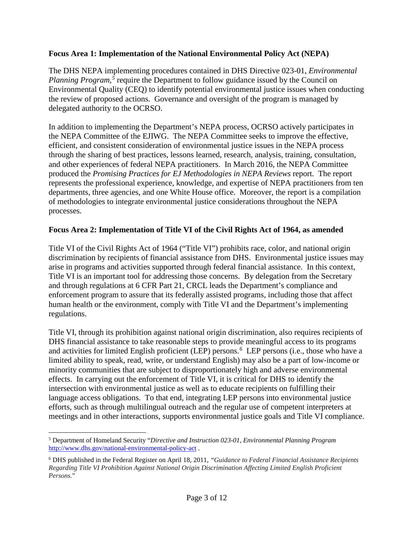#### <span id="page-4-0"></span>**Focus Area 1: Implementation of the National Environmental Policy Act (NEPA)**

The DHS NEPA implementing procedures contained in DHS Directive 023-01, *Environmental*  Planning Program,<sup>[5](#page-4-2)</sup> require the Department to follow guidance issued by the Council on Environmental Quality (CEQ) to identify potential environmental justice issues when conducting the review of proposed actions. Governance and oversight of the program is managed by delegated authority to the OCRSO.

In addition to implementing the Department's NEPA process, OCRSO actively participates in the NEPA Committee of the EJIWG. The NEPA Committee seeks to improve the effective, efficient, and consistent consideration of environmental justice issues in the NEPA process through the sharing of best practices, lessons learned, research, analysis, training, consultation, and other experiences of federal NEPA practitioners. In March 2016, the NEPA Committee produced the *Promising Practices for EJ Methodologies in NEPA Reviews* report*.* The report represents the professional experience, knowledge, and expertise of NEPA practitioners from ten departments, three agencies, and one White House office. Moreover, the report is a compilation of methodologies to integrate environmental justice considerations throughout the NEPA processes.

#### <span id="page-4-1"></span>**Focus Area 2: Implementation of Title VI of the Civil Rights Act of 1964, as amended**

Title VI of the Civil Rights Act of 1964 ("Title VI") prohibits race, color, and national origin discrimination by recipients of financial assistance from DHS. Environmental justice issues may arise in programs and activities supported through federal financial assistance. In this context, Title VI is an important tool for addressing those concerns. By delegation from the Secretary and through regulations at 6 CFR Part 21, CRCL leads the Department's compliance and enforcement program to assure that its federally assisted programs, including those that affect human health or the environment, comply with Title VI and the Department's implementing regulations.

Title VI, through its prohibition against national origin discrimination, also requires recipients of DHS financial assistance to take reasonable steps to provide meaningful access to its programs and activities for limited English proficient (LEP) persons.<sup>[6](#page-4-3)</sup> LEP persons (i.e., those who have a limited ability to speak, read, write, or understand English) may also be a part of low-income or minority communities that are subject to disproportionately high and adverse environmental effects. In carrying out the enforcement of Title VI, it is critical for DHS to identify the intersection with environmental justice as well as to educate recipients on fulfilling their language access obligations. To that end, integrating LEP persons into environmental justice efforts, such as through multilingual outreach and the regular use of competent interpreters at meetings and in other interactions, supports environmental justice goals and Title VI compliance.

<span id="page-4-2"></span> <sup>5</sup> Department of Homeland Security "*Directive and Instruction 023-01, Environmental Planning Program* <http://www.dhs.gov/national-environmental-policy-act> .

<span id="page-4-3"></span><sup>6</sup> DHS published in the Federal Register on April 18, 2011, *"Guidance to Federal Financial Assistance Recipients Regarding Title VI Prohibition Against National Origin Discrimination Affecting Limited English Proficient Persons.*"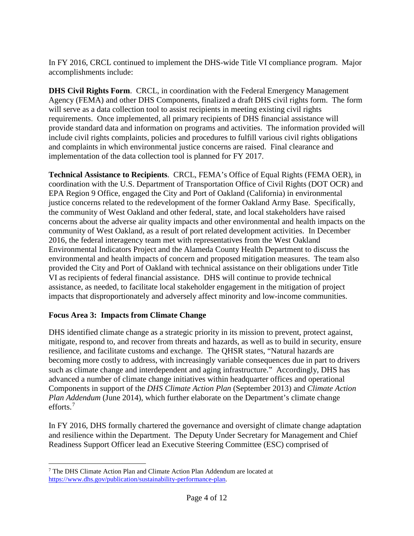In FY 2016, CRCL continued to implement the DHS-wide Title VI compliance program. Major accomplishments include:

**DHS Civil Rights Form**. CRCL, in coordination with the Federal Emergency Management Agency (FEMA) and other DHS Components, finalized a draft DHS civil rights form. The form will serve as a data collection tool to assist recipients in meeting existing civil rights requirements. Once implemented, all primary recipients of DHS financial assistance will provide standard data and information on programs and activities. The information provided will include civil rights complaints, policies and procedures to fulfill various civil rights obligations and complaints in which environmental justice concerns are raised. Final clearance and implementation of the data collection tool is planned for FY 2017.

**Technical Assistance to Recipients**. CRCL, FEMA's Office of Equal Rights (FEMA OER), in coordination with the U.S. Department of Transportation Office of Civil Rights (DOT OCR) and EPA Region 9 Office, engaged the City and Port of Oakland (California) in environmental justice concerns related to the redevelopment of the former Oakland Army Base. Specifically, the community of West Oakland and other federal, state, and local stakeholders have raised concerns about the adverse air quality impacts and other environmental and health impacts on the community of West Oakland, as a result of port related development activities. In December 2016, the federal interagency team met with representatives from the West Oakland Environmental Indicators Project and the Alameda County Health Department to discuss the environmental and health impacts of concern and proposed mitigation measures. The team also provided the City and Port of Oakland with technical assistance on their obligations under Title VI as recipients of federal financial assistance. DHS will continue to provide technical assistance, as needed, to facilitate local stakeholder engagement in the mitigation of project impacts that disproportionately and adversely affect minority and low-income communities.

#### <span id="page-5-0"></span>**Focus Area 3: Impacts from Climate Change**

DHS identified climate change as a strategic priority in its mission to prevent, protect against, mitigate, respond to, and recover from threats and hazards, as well as to build in security, ensure resilience, and facilitate customs and exchange. The QHSR states, "Natural hazards are becoming more costly to address, with increasingly variable consequences due in part to drivers such as climate change and interdependent and aging infrastructure." Accordingly, DHS has advanced a number of climate change initiatives within headquarter offices and operational Components in support of the *DHS Climate Action Plan* (September 2013) and *Climate Action Plan Addendum* (June 2014), which further elaborate on the Department's climate change efforts.[7](#page-5-1)

In FY 2016, DHS formally chartered the governance and oversight of climate change adaptation and resilience within the Department. The Deputy Under Secretary for Management and Chief Readiness Support Officer lead an Executive Steering Committee (ESC) comprised of

<span id="page-5-1"></span> <sup>7</sup> The DHS Climate Action Plan and Climate Action Plan Addendum are located at [https://www.dhs.gov/publication/sustainability-performance-plan.](https://www.dhs.gov/publication/sustainability-performance-plan)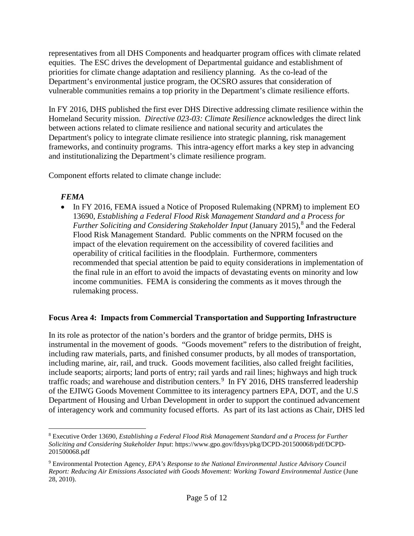representatives from all DHS Components and headquarter program offices with climate related equities. The ESC drives the development of Departmental guidance and establishment of priorities for climate change adaptation and resiliency planning. As the co-lead of the Department's environmental justice program, the OCSRO assures that consideration of vulnerable communities remains a top priority in the Department's climate resilience efforts.

In FY 2016, DHS published the first ever DHS Directive addressing climate resilience within the Homeland Security mission. *Directive 023-03: Climate Resilience* acknowledges the direct link between actions related to climate resilience and national security and articulates the Department's policy to integrate climate resilience into strategic planning, risk management frameworks, and continuity programs. This intra-agency effort marks a key step in advancing and institutionalizing the Department's climate resilience program.

Component efforts related to climate change include:

#### *FEMA*

• In FY 2016, FEMA issued a Notice of Proposed Rulemaking (NPRM) to implement EO 13690, *Establishing a Federal Flood Risk Management Standard and a Process for Further Soliciting and Considering Stakeholder Input* (January 2015), [8](#page-6-1) and the Federal Flood Risk Management Standard. Public comments on the NPRM focused on the impact of the elevation requirement on the accessibility of covered facilities and operability of critical facilities in the floodplain. Furthermore, commenters recommended that special attention be paid to equity considerations in implementation of the final rule in an effort to avoid the impacts of devastating events on minority and low income communities. FEMA is considering the comments as it moves through the rulemaking process.

#### <span id="page-6-0"></span>**Focus Area 4: Impacts from Commercial Transportation and Supporting Infrastructure**

In its role as protector of the nation's borders and the grantor of bridge permits, DHS is instrumental in the movement of goods. "Goods movement" refers to the distribution of freight, including raw materials, parts, and finished consumer products, by all modes of transportation, including marine, air, rail, and truck. Goods movement facilities, also called freight facilities, include seaports; airports; land ports of entry; rail yards and rail lines; highways and high truck traffic roads; and warehouse and distribution centers.<sup>[9](#page-6-2)</sup> In FY 2016, DHS transferred leadership of the EJIWG Goods Movement Committee to its interagency partners EPA, DOT, and the U.S Department of Housing and Urban Development in order to support the continued advancement of interagency work and community focused efforts. As part of its last actions as Chair, DHS led

<span id="page-6-1"></span> <sup>8</sup> Executive Order 13690, *Establishing a Federal Flood Risk Management Standard and a Process for Further Soliciting and Considering Stakeholder Input*: https://www.gpo.gov/fdsys/pkg/DCPD-201500068/pdf/DCPD-201500068.pdf

<span id="page-6-2"></span><sup>9</sup> Environmental Protection Agency, *EPA's Response to the National Environmental Justice Advisory Council Report: Reducing Air Emissions Associated with Goods Movement: Working Toward Environmental Justice* (June 28, 2010).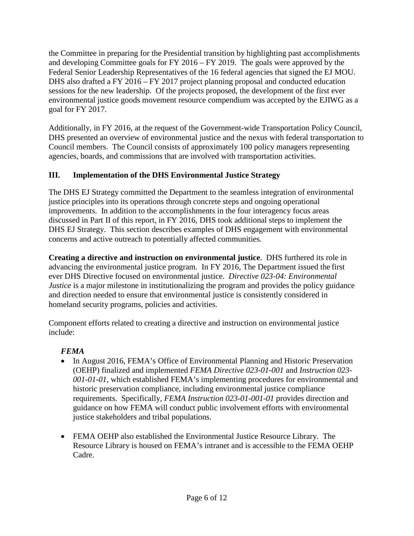the Committee in preparing for the Presidential transition by highlighting past accomplishments and developing Committee goals for FY 2016 – FY 2019. The goals were approved by the Federal Senior Leadership Representatives of the 16 federal agencies that signed the EJ MOU. DHS also drafted a FY 2016 – FY 2017 project planning proposal and conducted education sessions for the new leadership. Of the projects proposed, the development of the first ever environmental justice goods movement resource compendium was accepted by the EJIWG as a goal for FY 2017.

Additionally, in FY 2016, at the request of the Government-wide Transportation Policy Council, DHS presented an overview of environmental justice and the nexus with federal transportation to Council members. The Council consists of approximately 100 policy managers representing agencies, boards, and commissions that are involved with transportation activities.

## <span id="page-7-0"></span>**III. Implementation of the DHS Environmental Justice Strategy**

The DHS EJ Strategy committed the Department to the seamless integration of environmental justice principles into its operations through concrete steps and ongoing operational improvements. In addition to the accomplishments in the four interagency focus areas discussed in Part II of this report, in FY 2016, DHS took additional steps to implement the DHS EJ Strategy. This section describes examples of DHS engagement with environmental concerns and active outreach to potentially affected communities.

**Creating a directive and instruction on environmental justice**. DHS furthered its role in advancing the environmental justice program. In FY 2016, The Department issued the first ever DHS Directive focused on environmental justice. *Directive 023-04: Environmental Justice* is a major milestone in institutionalizing the program and provides the policy guidance and direction needed to ensure that environmental justice is consistently considered in homeland security programs, policies and activities.

Component efforts related to creating a directive and instruction on environmental justice include:

## *FEMA*

- In August 2016, FEMA's Office of Environmental Planning and Historic Preservation (OEHP) finalized and implemented *FEMA Directive 023-01-001* and *Instruction 023- 001-01-01*, which established FEMA's implementing procedures for environmental and historic preservation compliance, including environmental justice compliance requirements. Specifically*, FEMA Instruction 023-01-001-01* provides direction and guidance on how FEMA will conduct public involvement efforts with environmental justice stakeholders and tribal populations.
- FEMA OEHP also established the Environmental Justice Resource Library. The Resource Library is housed on FEMA's intranet and is accessible to the FEMA OEHP Cadre.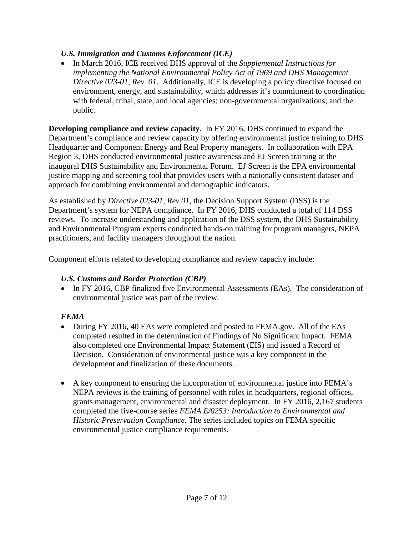## *U.S. Immigration and Customs Enforcement (ICE)*

• In March 2016, ICE received DHS approval of the *Supplemental Instructions for implementing the National Environmental Policy Act of 1969 and DHS Management Directive 023-01, Rev. 01*. Additionally, ICE is developing a policy directive focused on environment, energy, and sustainability, which addresses it's commitment to coordination with federal, tribal, state, and local agencies; non-governmental organizations; and the public.

**Developing compliance and review capacity**. In FY 2016, DHS continued to expand the Department's compliance and review capacity by offering environmental justice training to DHS Headquarter and Component Energy and Real Property managers. In collaboration with EPA Region 3, DHS conducted environmental justice awareness and EJ Screen training at the inaugural DHS Sustainability and Environmental Forum. EJ Screen is the EPA environmental justice mapping and screening tool that provides users with a nationally consistent dataset and approach for combining environmental and demographic indicators.

As established by *Directive 023-01, Rev 01*, the Decision Support System (DSS) is the Department's system for NEPA compliance. In FY 2016, DHS conducted a total of 114 DSS reviews. To increase understanding and application of the DSS system, the DHS Sustainability and Environmental Program experts conducted hands-on training for program managers, NEPA practitioners, and facility managers throughout the nation.

Component efforts related to developing compliance and review capacity include:

## *U.S. Customs and Border Protection (CBP)*

• In FY 2016, CBP finalized five Environmental Assessments (EAs). The consideration of environmental justice was part of the review.

## *FEMA*

- During FY 2016, 40 EAs were completed and posted to FEMA.gov. All of the EAs completed resulted in the determination of Findings of No Significant Impact. FEMA also completed one Environmental Impact Statement (EIS) and issued a Record of Decision. Consideration of environmental justice was a key component in the development and finalization of these documents.
- A key component to ensuring the incorporation of environmental justice into FEMA's NEPA reviews is the training of personnel with roles in headquarters, regional offices, grants management, environmental and disaster deployment. In FY 2016, 2,167 students completed the five-course series *FEMA E/0253: Introduction to Environmental and Historic Preservation Compliance*. The series included topics on FEMA specific environmental justice compliance requirements.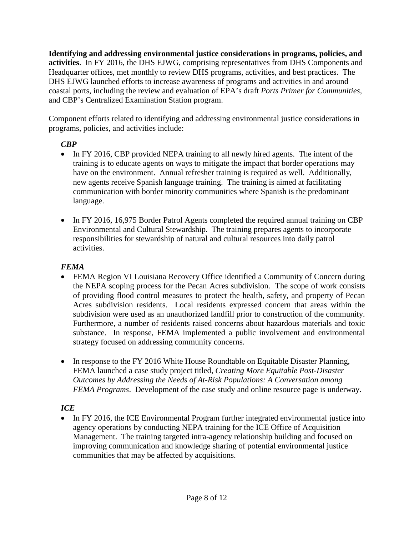**Identifying and addressing environmental justice considerations in programs, policies, and activities**. In FY 2016, the DHS EJWG, comprising representatives from DHS Components and Headquarter offices, met monthly to review DHS programs, activities, and best practices. The DHS EJWG launched efforts to increase awareness of programs and activities in and around coastal ports, including the review and evaluation of EPA's draft *Ports Primer for Communities,* and CBP's Centralized Examination Station program.

Component efforts related to identifying and addressing environmental justice considerations in programs, policies, and activities include:

## *CBP*

- In FY 2016, CBP provided NEPA training to all newly hired agents. The intent of the training is to educate agents on ways to mitigate the impact that border operations may have on the environment. Annual refresher training is required as well. Additionally, new agents receive Spanish language training. The training is aimed at facilitating communication with border minority communities where Spanish is the predominant language.
- In FY 2016, 16,975 Border Patrol Agents completed the required annual training on CBP Environmental and Cultural Stewardship. The training prepares agents to incorporate responsibilities for stewardship of natural and cultural resources into daily patrol activities.

## *FEMA*

- FEMA Region VI Louisiana Recovery Office identified a Community of Concern during the NEPA scoping process for the Pecan Acres subdivision. The scope of work consists of providing flood control measures to protect the health, safety, and property of Pecan Acres subdivision residents. Local residents expressed concern that areas within the subdivision were used as an unauthorized landfill prior to construction of the community. Furthermore, a number of residents raised concerns about hazardous materials and toxic substance. In response, FEMA implemented a public involvement and environmental strategy focused on addressing community concerns.
- In response to the FY 2016 White House Roundtable on Equitable Disaster Planning, FEMA launched a case study project titled, *Creating More Equitable Post-Disaster Outcomes by Addressing the Needs of At-Risk Populations: A Conversation among FEMA Programs*. Development of the case study and online resource page is underway.

## *ICE*

• In FY 2016, the ICE Environmental Program further integrated environmental justice into agency operations by conducting NEPA training for the ICE Office of Acquisition Management. The training targeted intra-agency relationship building and focused on improving communication and knowledge sharing of potential environmental justice communities that may be affected by acquisitions.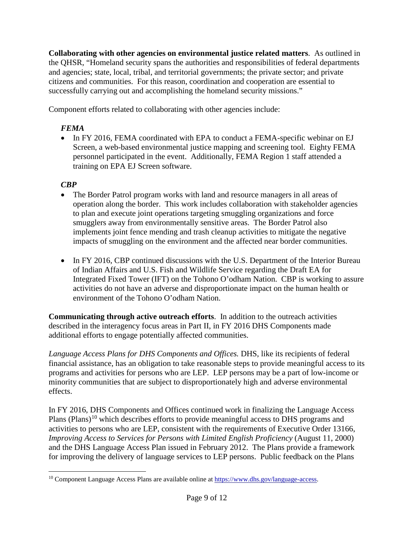**Collaborating with other agencies on environmental justice related matters**. As outlined in the QHSR, "Homeland security spans the authorities and responsibilities of federal departments and agencies; state, local, tribal, and territorial governments; the private sector; and private citizens and communities. For this reason, coordination and cooperation are essential to successfully carrying out and accomplishing the homeland security missions."

Component efforts related to collaborating with other agencies include:

## *FEMA*

• In FY 2016, FEMA coordinated with EPA to conduct a FEMA-specific webinar on EJ Screen, a web-based environmental justice mapping and screening tool. Eighty FEMA personnel participated in the event. Additionally, FEMA Region 1 staff attended a training on EPA EJ Screen software.

## *CBP*

- The Border Patrol program works with land and resource managers in all areas of operation along the border. This work includes collaboration with stakeholder agencies to plan and execute joint operations targeting smuggling organizations and force smugglers away from environmentally sensitive areas. The Border Patrol also implements joint fence mending and trash cleanup activities to mitigate the negative impacts of smuggling on the environment and the affected near border communities.
- In FY 2016, CBP continued discussions with the U.S. Department of the Interior Bureau of Indian Affairs and U.S. Fish and Wildlife Service regarding the Draft EA for Integrated Fixed Tower (IFT) on the Tohono O'odham Nation. CBP is working to assure activities do not have an adverse and disproportionate impact on the human health or environment of the Tohono O'odham Nation.

**Communicating through active outreach efforts**. In addition to the outreach activities described in the interagency focus areas in Part II, in FY 2016 DHS Components made additional efforts to engage potentially affected communities.

*Language Access Plans for DHS Components and Offices.* DHS, like its recipients of federal financial assistance, has an obligation to take reasonable steps to provide meaningful access to its programs and activities for persons who are LEP. LEP persons may be a part of low-income or minority communities that are subject to disproportionately high and adverse environmental effects.

In FY 2016, DHS Components and Offices continued work in finalizing the Language Access Plans (Plans)<sup>[10](#page-10-0)</sup> which describes efforts to provide meaningful access to DHS programs and activities to persons who are LEP, consistent with the requirements of Executive Order 13166, *Improving Access to Services for Persons with Limited English Proficiency (August 11, 2000)* and the DHS Language Access Plan issued in February 2012. The Plans provide a framework for improving the delivery of language services to LEP persons. Public feedback on the Plans

<span id="page-10-0"></span> <sup>10</sup> Component Language Access Plans are available online a[t https://www.dhs.gov/language-access.](https://www.dhs.gov/language-access)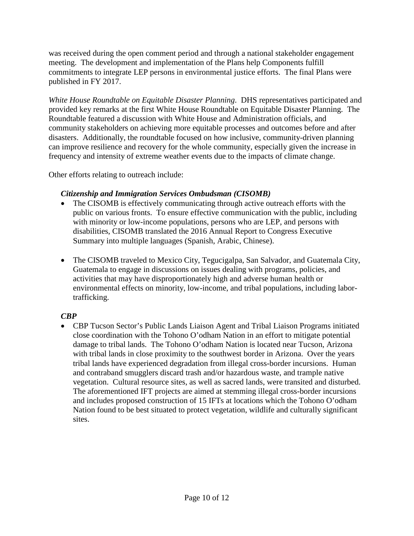was received during the open comment period and through a national stakeholder engagement meeting. The development and implementation of the Plans help Components fulfill commitments to integrate LEP persons in environmental justice efforts. The final Plans were published in FY 2017.

*White House Roundtable on Equitable Disaster Planning*. DHS representatives participated and provided key remarks at the first White House Roundtable on Equitable Disaster Planning. The Roundtable featured a discussion with White House and Administration officials, and community stakeholders on achieving more equitable processes and outcomes before and after disasters. Additionally, the roundtable focused on how inclusive, community-driven planning can improve resilience and recovery for the whole community, especially given the increase in frequency and intensity of extreme weather events due to the impacts of climate change.

Other efforts relating to outreach include:

#### *Citizenship and Immigration Services Ombudsman (CISOMB)*

- The CISOMB is effectively communicating through active outreach efforts with the public on various fronts. To ensure effective communication with the public, including with minority or low-income populations, persons who are LEP, and persons with disabilities, CISOMB translated the 2016 Annual Report to Congress Executive Summary into multiple languages (Spanish, Arabic, Chinese).
- The CISOMB traveled to Mexico City, Tegucigalpa, San Salvador, and Guatemala City, Guatemala to engage in discussions on issues dealing with programs, policies, and activities that may have disproportionately high and adverse human health or environmental effects on minority, low-income, and tribal populations, including labortrafficking.

## *CBP*

• CBP Tucson Sector's Public Lands Liaison Agent and Tribal Liaison Programs initiated close coordination with the Tohono O'odham Nation in an effort to mitigate potential damage to tribal lands. The Tohono O'odham Nation is located near Tucson, Arizona with tribal lands in close proximity to the southwest border in Arizona. Over the years tribal lands have experienced degradation from illegal cross-border incursions. Human and contraband smugglers discard trash and/or hazardous waste, and trample native vegetation. Cultural resource sites, as well as sacred lands, were transited and disturbed. The aforementioned IFT projects are aimed at stemming illegal cross-border incursions and includes proposed construction of 15 IFTs at locations which the Tohono O'odham Nation found to be best situated to protect vegetation, wildlife and culturally significant sites.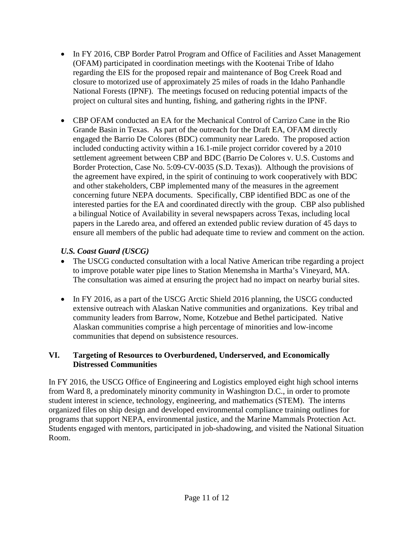- In FY 2016, CBP Border Patrol Program and Office of Facilities and Asset Management (OFAM) participated in coordination meetings with the Kootenai Tribe of Idaho regarding the EIS for the proposed repair and maintenance of Bog Creek Road and closure to motorized use of approximately 25 miles of roads in the Idaho Panhandle National Forests (IPNF). The meetings focused on reducing potential impacts of the project on cultural sites and hunting, fishing, and gathering rights in the IPNF.
- CBP OFAM conducted an EA for the Mechanical Control of Carrizo Cane in the Rio Grande Basin in Texas. As part of the outreach for the Draft EA, OFAM directly engaged the Barrio De Colores (BDC) community near Laredo. The proposed action included conducting activity within a 16.1-mile project corridor covered by a 2010 settlement agreement between CBP and BDC (Barrio De Colores v. U.S. Customs and Border Protection, Case No. 5:09-CV-0035 (S.D. Texas)). Although the provisions of the agreement have expired, in the spirit of continuing to work cooperatively with BDC and other stakeholders, CBP implemented many of the measures in the agreement concerning future NEPA documents. Specifically, CBP identified BDC as one of the interested parties for the EA and coordinated directly with the group. CBP also published a bilingual Notice of Availability in several newspapers across Texas, including local papers in the Laredo area, and offered an extended public review duration of 45 days to ensure all members of the public had adequate time to review and comment on the action.

## *U.S. Coast Guard (USCG)*

- The USCG conducted consultation with a local Native American tribe regarding a project to improve potable water pipe lines to Station Menemsha in Martha's Vineyard, MA. The consultation was aimed at ensuring the project had no impact on nearby burial sites.
- In FY 2016, as a part of the USCG Arctic Shield 2016 planning, the USCG conducted extensive outreach with Alaskan Native communities and organizations. Key tribal and community leaders from Barrow, Nome, Kotzebue and Bethel participated. Native Alaskan communities comprise a high percentage of minorities and low-income communities that depend on subsistence resources.

## <span id="page-12-0"></span>**VI. Targeting of Resources to Overburdened, Underserved, and Economically Distressed Communities**

In FY 2016, the USCG Office of Engineering and Logistics employed eight high school interns from Ward 8, a predominately minority community in Washington D.C., in order to promote student interest in science, technology, engineering, and mathematics (STEM). The interns organized files on ship design and developed environmental compliance training outlines for programs that support NEPA, environmental justice, and the Marine Mammals Protection Act. Students engaged with mentors, participated in job-shadowing, and visited the National Situation Room.